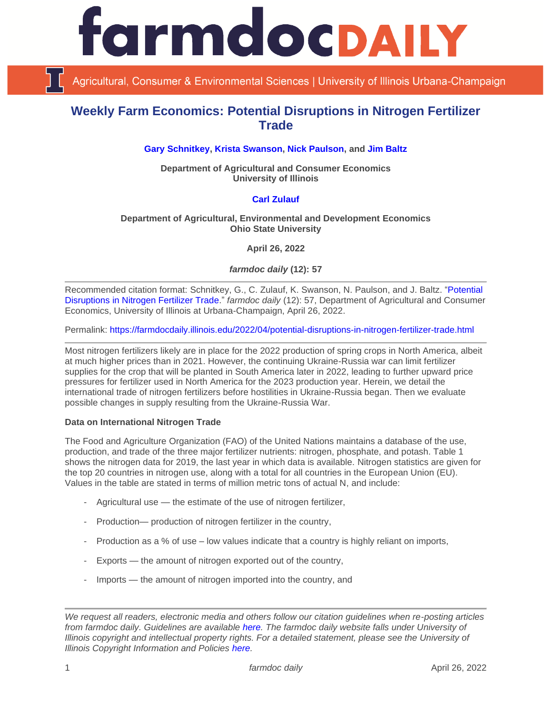

Agricultural, Consumer & Environmental Sciences | University of Illinois Urbana-Champaign

## **Weekly Farm Economics: Potential Disruptions in Nitrogen Fertilizer Trade**

**[Gary Schnitkey,](https://ace.illinois.edu/directory/schnitke) [Krista Swanson,](https://ace.illinois.edu/directory/krista) [Nick Paulson,](https://ace.illinois.edu/directory/npaulson) and [Jim Baltz](https://ace.illinois.edu/directory/jhbaltz)**

**Department of Agricultural and Consumer Economics University of Illinois**

### **[Carl Zulauf](http://aede.osu.edu/our-people/carl-zulauf)**

### **Department of Agricultural, Environmental and Development Economics Ohio State University**

**April 26, 2022**

*farmdoc daily* **(12): 57**

Recommended citation format: Schnitkey, G., C. Zulauf, K. Swanson, N. Paulson, and J. Baltz. "Potential [Disruptions in Nitrogen Fertilizer Trade.](https://farmdocdaily.illinois.edu/2022/04/potential-disruptions-in-nitrogen-fertilizer-trade.html)" *farmdoc daily* (12): 57, Department of Agricultural and Consumer Economics, University of Illinois at Urbana-Champaign, April 26, 2022.

Permalink:<https://farmdocdaily.illinois.edu/2022/04/potential-disruptions-in-nitrogen-fertilizer-trade.html>

Most nitrogen fertilizers likely are in place for the 2022 production of spring crops in North America, albeit at much higher prices than in 2021. However, the continuing Ukraine-Russia war can limit fertilizer supplies for the crop that will be planted in South America later in 2022, leading to further upward price pressures for fertilizer used in North America for the 2023 production year. Herein, we detail the international trade of nitrogen fertilizers before hostilities in Ukraine-Russia began. Then we evaluate possible changes in supply resulting from the Ukraine-Russia War.

### **Data on International Nitrogen Trade**

The Food and Agriculture Organization (FAO) of the United Nations maintains a database of the use, production, and trade of the three major fertilizer nutrients: nitrogen, phosphate, and potash. Table 1 shows the nitrogen data for 2019, the last year in which data is available. Nitrogen statistics are given for the top 20 countries in nitrogen use, along with a total for all countries in the European Union (EU). Values in the table are stated in terms of million metric tons of actual N, and include:

- Agricultural use the estimate of the use of nitrogen fertilizer,
- Production— production of nitrogen fertilizer in the country,
- Production as a % of use low values indicate that a country is highly reliant on imports,
- Exports the amount of nitrogen exported out of the country,
- Imports the amount of nitrogen imported into the country, and

*We request all readers, electronic media and others follow our citation guidelines when re-posting articles from farmdoc daily. Guidelines are available [here.](http://farmdocdaily.illinois.edu/citationguide.html) The farmdoc daily website falls under University of Illinois copyright and intellectual property rights. For a detailed statement, please see the University of Illinois Copyright Information and Policies [here.](http://www.cio.illinois.edu/policies/copyright/)*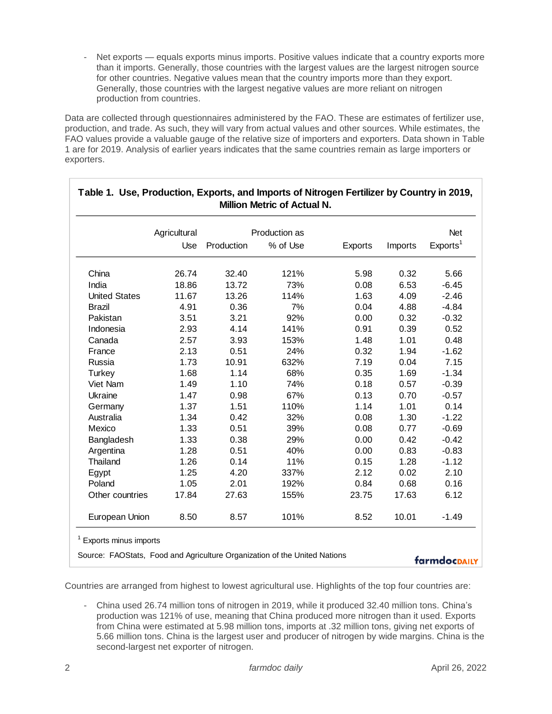Net exports — equals exports minus imports. Positive values indicate that a country exports more than it imports. Generally, those countries with the largest values are the largest nitrogen source for other countries. Negative values mean that the country imports more than they export. Generally, those countries with the largest negative values are more reliant on nitrogen production from countries.

Data are collected through questionnaires administered by the FAO. These are estimates of fertilizer use, production, and trade. As such, they will vary from actual values and other sources. While estimates, the FAO values provide a valuable gauge of the relative size of importers and exporters. Data shown in Table 1 are for 2019. Analysis of earlier years indicates that the same countries remain as large importers or exporters.

|                      | Agricultural<br>Use | Production as |          |         |         | Net                  |
|----------------------|---------------------|---------------|----------|---------|---------|----------------------|
|                      |                     | Production    | % of Use | Exports | Imports | Exports <sup>1</sup> |
| China                | 26.74               | 32.40         | 121%     | 5.98    | 0.32    | 5.66                 |
| India                | 18.86               | 13.72         | 73%      | 0.08    | 6.53    | $-6.45$              |
| <b>United States</b> | 11.67               | 13.26         | 114%     | 1.63    | 4.09    | $-2.46$              |
| <b>Brazil</b>        | 4.91                | 0.36          | 7%       | 0.04    | 4.88    | $-4.84$              |
| Pakistan             | 3.51                | 3.21          | 92%      | 0.00    | 0.32    | $-0.32$              |
| Indonesia            | 2.93                | 4.14          | 141%     | 0.91    | 0.39    | 0.52                 |
| Canada               | 2.57                | 3.93          | 153%     | 1.48    | 1.01    | 0.48                 |
| France               | 2.13                | 0.51          | 24%      | 0.32    | 1.94    | $-1.62$              |
| Russia               | 1.73                | 10.91         | 632%     | 7.19    | 0.04    | 7.15                 |
| Turkey               | 1.68                | 1.14          | 68%      | 0.35    | 1.69    | $-1.34$              |
| Viet Nam             | 1.49                | 1.10          | 74%      | 0.18    | 0.57    | $-0.39$              |
| Ukraine              | 1.47                | 0.98          | 67%      | 0.13    | 0.70    | $-0.57$              |
| Germany              | 1.37                | 1.51          | 110%     | 1.14    | 1.01    | 0.14                 |
| Australia            | 1.34                | 0.42          | 32%      | 0.08    | 1.30    | $-1.22$              |
| Mexico               | 1.33                | 0.51          | 39%      | 0.08    | 0.77    | $-0.69$              |
| Bangladesh           | 1.33                | 0.38          | 29%      | 0.00    | 0.42    | $-0.42$              |
| Argentina            | 1.28                | 0.51          | 40%      | 0.00    | 0.83    | $-0.83$              |
| Thailand             | 1.26                | 0.14          | 11%      | 0.15    | 1.28    | $-1.12$              |
| Egypt                | 1.25                | 4.20          | 337%     | 2.12    | 0.02    | 2.10                 |
| Poland               | 1.05                | 2.01          | 192%     | 0.84    | 0.68    | 0.16                 |
| Other countries      | 17.84               | 27.63         | 155%     | 23.75   | 17.63   | 6.12                 |
| European Union       | 8.50                | 8.57          | 101%     | 8.52    | 10.01   | $-1.49$              |

# **Table 1. Use, Production, Exports, and Imports of Nitrogen Fertilizer by Country in 2019,**

Countries are arranged from highest to lowest agricultural use. Highlights of the top four countries are:

- China used 26.74 million tons of nitrogen in 2019, while it produced 32.40 million tons. China's production was 121% of use, meaning that China produced more nitrogen than it used. Exports from China were estimated at 5.98 million tons, imports at .32 million tons, giving net exports of 5.66 million tons. China is the largest user and producer of nitrogen by wide margins. China is the second-largest net exporter of nitrogen.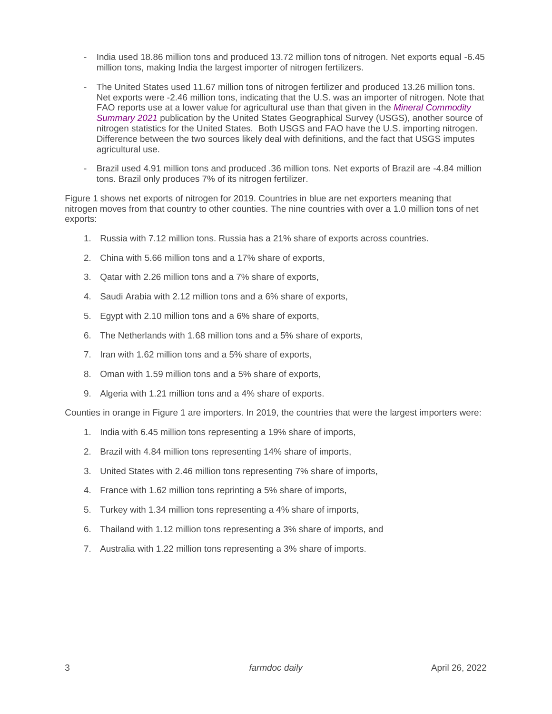- India used 18.86 million tons and produced 13.72 million tons of nitrogen. Net exports equal -6.45 million tons, making India the largest importer of nitrogen fertilizers.
- The United States used 11.67 million tons of nitrogen fertilizer and produced 13.26 million tons. Net exports were -2.46 million tons, indicating that the U.S. was an importer of nitrogen. Note that FAO reports use at a lower value for agricultural use than that given in the *[Mineral Commodity](https://pubs.er.usgs.gov/publication/mcs2022)  [Summary](https://pubs.er.usgs.gov/publication/mcs2022) 2021* publication by the United States Geographical Survey (USGS), another source of nitrogen statistics for the United States. Both USGS and FAO have the U.S. importing nitrogen. Difference between the two sources likely deal with definitions, and the fact that USGS imputes agricultural use.
- Brazil used 4.91 million tons and produced .36 million tons. Net exports of Brazil are -4.84 million tons. Brazil only produces 7% of its nitrogen fertilizer.

Figure 1 shows net exports of nitrogen for 2019. Countries in blue are net exporters meaning that nitrogen moves from that country to other counties. The nine countries with over a 1.0 million tons of net exports:

- 1. Russia with 7.12 million tons. Russia has a 21% share of exports across countries.
- 2. China with 5.66 million tons and a 17% share of exports,
- 3. Qatar with 2.26 million tons and a 7% share of exports,
- 4. Saudi Arabia with 2.12 million tons and a 6% share of exports,
- 5. Egypt with 2.10 million tons and a 6% share of exports,
- 6. The Netherlands with 1.68 million tons and a 5% share of exports,
- 7. Iran with 1.62 million tons and a 5% share of exports,
- 8. Oman with 1.59 million tons and a 5% share of exports,
- 9. Algeria with 1.21 million tons and a 4% share of exports.

Counties in orange in Figure 1 are importers. In 2019, the countries that were the largest importers were:

- 1. India with 6.45 million tons representing a 19% share of imports,
- 2. Brazil with 4.84 million tons representing 14% share of imports,
- 3. United States with 2.46 million tons representing 7% share of imports,
- 4. France with 1.62 million tons reprinting a 5% share of imports,
- 5. Turkey with 1.34 million tons representing a 4% share of imports,
- 6. Thailand with 1.12 million tons representing a 3% share of imports, and
- 7. Australia with 1.22 million tons representing a 3% share of imports.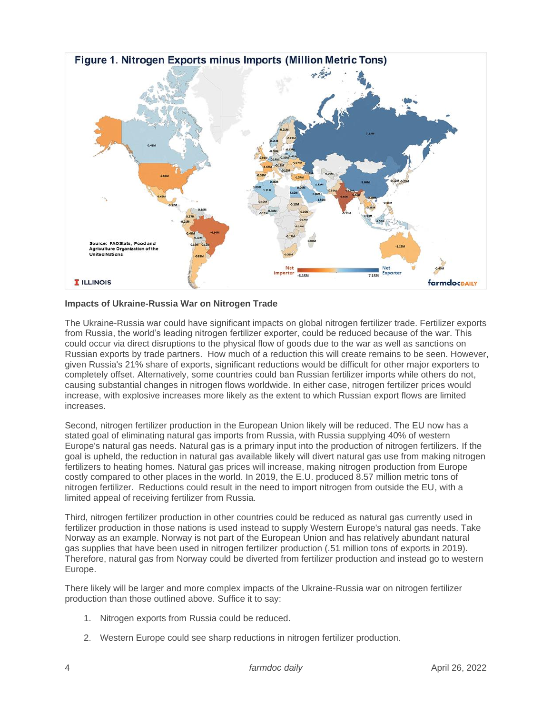

### **Impacts of Ukraine-Russia War on Nitrogen Trade**

The Ukraine-Russia war could have significant impacts on global nitrogen fertilizer trade. Fertilizer exports from Russia, the world's leading nitrogen fertilizer exporter, could be reduced because of the war. This could occur via direct disruptions to the physical flow of goods due to the war as well as sanctions on Russian exports by trade partners. How much of a reduction this will create remains to be seen. However, given Russia's 21% share of exports, significant reductions would be difficult for other major exporters to completely offset. Alternatively, some countries could ban Russian fertilizer imports while others do not, causing substantial changes in nitrogen flows worldwide. In either case, nitrogen fertilizer prices would increase, with explosive increases more likely as the extent to which Russian export flows are limited increases.

Second, nitrogen fertilizer production in the European Union likely will be reduced. The EU now has a stated goal of eliminating natural gas imports from Russia, with Russia supplying 40% of western Europe's natural gas needs. Natural gas is a primary input into the production of nitrogen fertilizers. If the goal is upheld, the reduction in natural gas available likely will divert natural gas use from making nitrogen fertilizers to heating homes. Natural gas prices will increase, making nitrogen production from Europe costly compared to other places in the world. In 2019, the E.U. produced 8.57 million metric tons of nitrogen fertilizer. Reductions could result in the need to import nitrogen from outside the EU, with a limited appeal of receiving fertilizer from Russia.

Third, nitrogen fertilizer production in other countries could be reduced as natural gas currently used in fertilizer production in those nations is used instead to supply Western Europe's natural gas needs. Take Norway as an example. Norway is not part of the European Union and has relatively abundant natural gas supplies that have been used in nitrogen fertilizer production (.51 million tons of exports in 2019). Therefore, natural gas from Norway could be diverted from fertilizer production and instead go to western Europe.

There likely will be larger and more complex impacts of the Ukraine-Russia war on nitrogen fertilizer production than those outlined above. Suffice it to say:

- 1. Nitrogen exports from Russia could be reduced.
- 2. Western Europe could see sharp reductions in nitrogen fertilizer production.